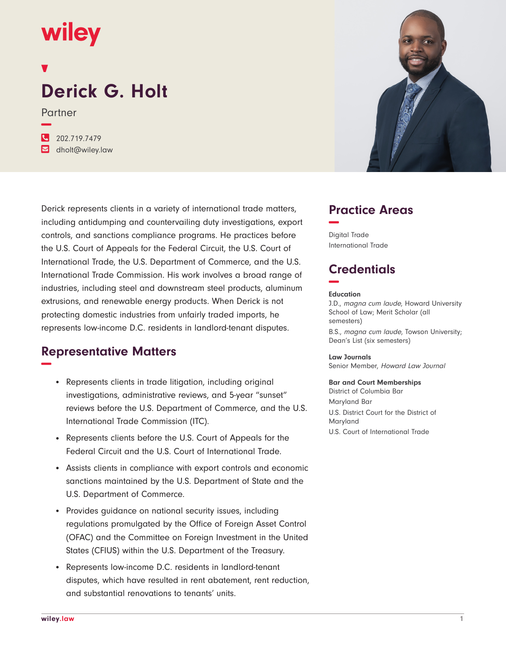# **wiley**

## **Derick G. Holt**

Partner **−**

**�** 202.719.7479 **�** dholt@wiley.law

Derick represents clients in a variety of international trade matters, including antidumping and countervailing duty investigations, export controls, and sanctions compliance programs. He practices before the U.S. Court of Appeals for the Federal Circuit, the U.S. Court of International Trade, the U.S. Department of Commerce, and the U.S. International Trade Commission. His work involves a broad range of industries, including steel and downstream steel products, aluminum extrusions, and renewable energy products. When Derick is not protecting domestic industries from unfairly traded imports, he represents low-income D.C. residents in landlord-tenant disputes.

## **Representative Matters −**

- Represents clients in trade litigation, including original investigations, administrative reviews, and 5-year "sunset" reviews before the U.S. Department of Commerce, and the U.S. International Trade Commission (ITC).
- Represents clients before the U.S. Court of Appeals for the Federal Circuit and the U.S. Court of International Trade.
- Assists clients in compliance with export controls and economic sanctions maintained by the U.S. Department of State and the U.S. Department of Commerce.
- Provides quidance on national security issues, including regulations promulgated by the Office of Foreign Asset Control (OFAC) and the Committee on Foreign Investment in the United States (CFIUS) within the U.S. Department of the Treasury.
- Represents low-income D.C. residents in landlord-tenant disputes, which have resulted in rent abatement, rent reduction, and substantial renovations to tenants' units.



## **Practice Areas −**

Digital Trade International Trade

## **Credentials −**

#### **Education**

J.D., magna cum laude, Howard University School of Law; Merit Scholar (all semesters) B.S., magna cum laude, Towson University; Dean's List (six semesters)

**Law Journals** Senior Member, Howard Law Journal

#### **Bar and Court Memberships**

District of Columbia Bar Maryland Bar U.S. District Court for the District of Maryland U.S. Court of International Trade